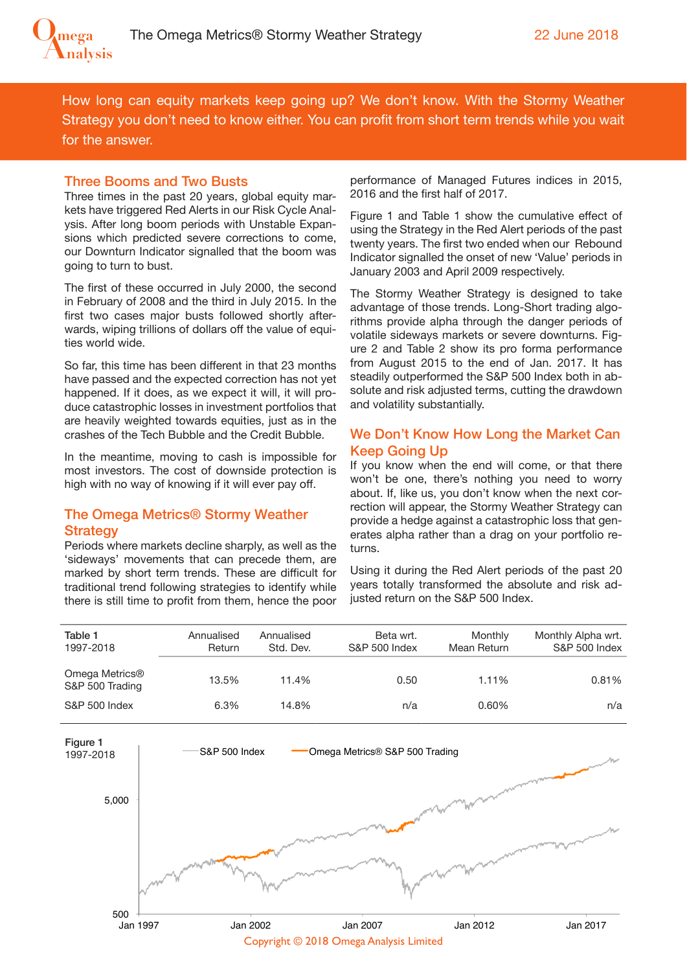

How long can equity markets keep going up? We don't know. With the Stormy Weather Strategy you don't need to know either. You can profit from short term trends while you wait for the answer.

#### Three Booms and Two Busts

Three times in the past 20 years, global equity markets have triggered Red Alerts in our Risk Cycle Analysis. After long boom periods with Unstable Expansions which predicted severe corrections to come, our Downturn Indicator signalled that the boom was going to turn to bust.

The first of these occurred in July 2000, the second in February of 2008 and the third in July 2015. In the first two cases major busts followed shortly afterwards, wiping trillions of dollars off the value of equities world wide.

So far, this time has been diferent in that 23 months have passed and the expected correction has not yet happened. If it does, as we expect it will, it will produce catastrophic losses in investment portfolios that are heavily weighted towards equities, just as in the crashes of the Tech Bubble and the Credit Bubble.

In the meantime, moving to cash is impossible for most investors. The cost of downside protection is high with no way of knowing if it will ever pay off.

### The Omega Metrics® Stormy Weather **Strategy**

Periods where markets decline sharply, as well as the 'sideways' movements that can precede them, are marked by short term trends. These are difficult for traditional trend following strategies to identify while there is still time to profit from them, hence the poor performance of Managed Futures indices in 2015, 2016 and the first half of 2017.

Figure 1 and Table 1 show the cumulative efect of using the Strategy in the Red Alert periods of the past twenty years. The first two ended when our Rebound Indicator signalled the onset of new 'Value' periods in January 2003 and April 2009 respectively.

The Stormy Weather Strategy is designed to take advantage of those trends. Long-Short trading algorithms provide alpha through the danger periods of volatile sideways markets or severe downturns. Figure 2 and Table 2 show its pro forma performance from August 2015 to the end of Jan. 2017. It has steadily outperformed the S&P 500 Index both in absolute and risk adjusted terms, cutting the drawdown and volatility substantially.

## We Don't Know How Long the Market Can Keep Going Up

If you know when the end will come, or that there won't be one, there's nothing you need to worry about. If, like us, you don't know when the next correction will appear, the Stormy Weather Strategy can provide a hedge against a catastrophic loss that generates alpha rather than a drag on your portfolio returns.

Using it during the Red Alert periods of the past 20 years totally transformed the absolute and risk adjusted return on the S&P 500 Index.

| Annualised<br><b>Return</b> | Annualised<br>Std. Dev. | Beta wrt.<br>S&P 500 Index | Monthly<br>Mean Return | Monthly Alpha wrt.<br>S&P 500 Index |
|-----------------------------|-------------------------|----------------------------|------------------------|-------------------------------------|
| 13.5%                       | 11.4%                   | 0.50                       | 1.11%                  | 0.81%                               |
| 6.3%                        | 14.8%                   | n/a                        | 0.60%                  | n/a                                 |
|                             |                         |                            |                        |                                     |

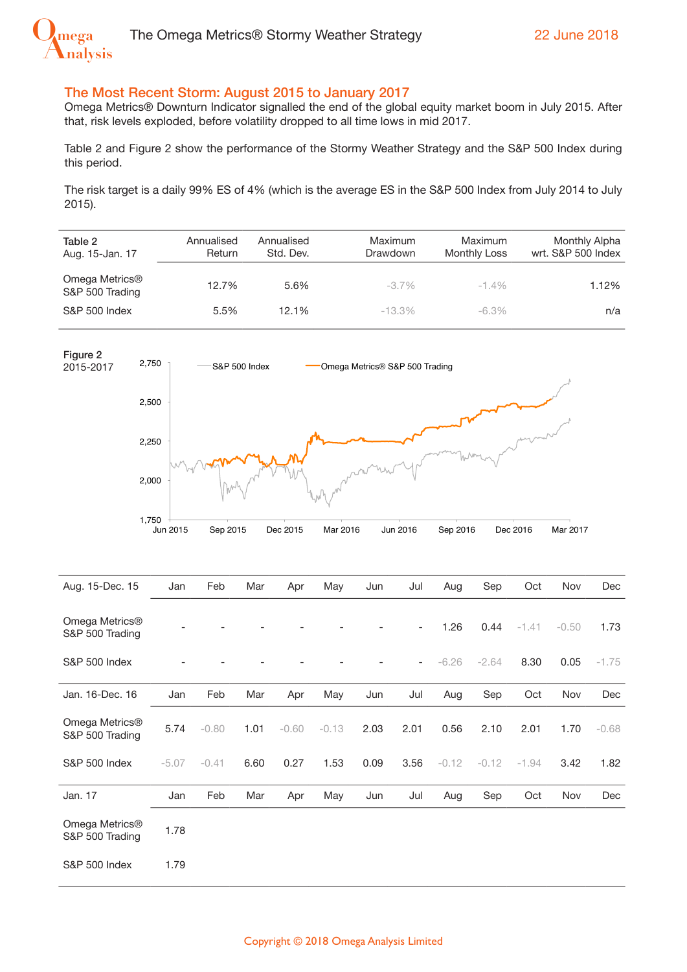

### The Most Recent Storm: August 2015 to January 2017

Omega Metrics® Downturn Indicator signalled the end of the global equity market boom in July 2015. After that, risk levels exploded, before volatility dropped to all time lows in mid 2017.

Table 2 and Figure 2 show the performance of the Stormy Weather Strategy and the S&P 500 Index during this period.

The risk target is a daily 99% ES of 4% (which is the average ES in the S&P 500 Index from July 2014 to July 2015).

| Table 2<br>Aug. 15-Jan. 17        | Annualised<br>Return | Annualised<br>Std. Dev. | Maximum<br>Drawdown | Maximum<br>Monthly Loss | Monthly Alpha<br>wrt. S&P 500 Index |
|-----------------------------------|----------------------|-------------------------|---------------------|-------------------------|-------------------------------------|
| Omega Metrics®<br>S&P 500 Trading | 12.7%                | 5.6%                    | $-3.7\%$            | $-1.4\%$                | 1.12%                               |
| S&P 500 Index                     | 5.5%                 | 12.1%                   | $-13.3\%$           | $-6.3\%$                | n/a                                 |



| Aug. 15-Dec. 15                               | Jan     | Feb     | Mar  | Apr     | May     | Jun  | Jul                      | Aug     | Sep     | Oct     | Nov     | Dec     |
|-----------------------------------------------|---------|---------|------|---------|---------|------|--------------------------|---------|---------|---------|---------|---------|
| Omega Metrics <sup>®</sup><br>S&P 500 Trading |         |         |      |         |         |      | $\overline{\phantom{0}}$ | 1.26    | 0.44    | $-1.41$ | $-0.50$ | 1.73    |
| <b>S&amp;P 500 Index</b>                      |         |         |      |         |         |      | $\overline{\phantom{0}}$ | $-6.26$ | $-2.64$ | 8.30    | 0.05    | $-1.75$ |
| Jan. 16-Dec. 16                               | Jan     | Feb     | Mar  | Apr     | May     | Jun  | Jul                      | Aug     | Sep     | Oct     | Nov     | Dec     |
| Omega Metrics®<br>S&P 500 Trading             | 5.74    | $-0.80$ | 1.01 | $-0.60$ | $-0.13$ | 2.03 | 2.01                     | 0.56    | 2.10    | 2.01    | 1.70    | $-0.68$ |
| <b>S&amp;P 500 Index</b>                      | $-5.07$ | $-0.41$ | 6.60 | 0.27    | 1.53    | 0.09 | 3.56                     | $-0.12$ | $-0.12$ | $-1.94$ | 3.42    | 1.82    |
| Jan. 17                                       | Jan     | Feb     | Mar  | Apr     | May     | Jun  | Jul                      | Aug     | Sep     | Oct     | Nov     | Dec     |
| Omega Metrics®<br>S&P 500 Trading             | 1.78    |         |      |         |         |      |                          |         |         |         |         |         |
| <b>S&amp;P 500 Index</b>                      | 1.79    |         |      |         |         |      |                          |         |         |         |         |         |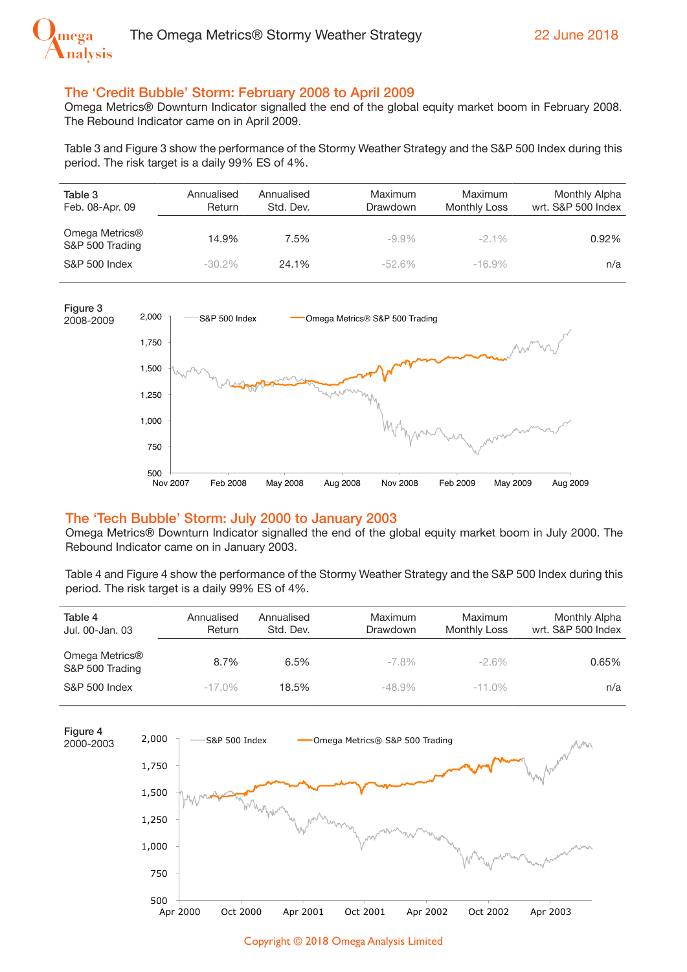

### The 'Credit Bubble' Storm: February 2008 to April 2009

Omega Metrics® Downturn Indicator signalled the end of the global equity market boom in February 2008. The Rebound Indicator came on in April 2009.

Table 3 and Figure 3 show the performance of the Stormy Weather Strategy and the S&P 500 Index during this period. The risk target is a daily 99% ES of 4%.

| Table 3<br>Feb. 08-Apr. 09        | Annualised<br>Return | Annualised<br>Std. Dev. | Maximum<br>Drawdown | Maximum<br>Monthly Loss | Monthly Alpha<br>wrt. S&P 500 Index |
|-----------------------------------|----------------------|-------------------------|---------------------|-------------------------|-------------------------------------|
| Omega Metrics®<br>S&P 500 Trading | 14.9%                | 7.5%                    | $-9.9\%$            | $-2.1\%$                | 0.92%                               |
| S&P 500 Index                     | $-30.2\%$            | 24.1%                   | $-52.6\%$           | $-16.9\%$               | n/a                                 |



#### The 'Tech Bubble' Storm: July 2000 to January 2003

Omega Metrics® Downturn Indicator signalled the end of the global equity market boom in July 2000. The Rebound Indicator came on in January 2003.

Table 4 and Figure 4 show the performance of the Stormy Weather Strategy and the S&P 500 Index during this period. The risk target is a daily 99% ES of 4%.

| Table 4<br>Jul. 00-Jan. 03        | Annualised<br>Return | Annualised<br>Std. Dev. | Maximum<br>Drawdown | Maximum<br>Monthly Loss | Monthly Alpha<br>wrt. S&P 500 Index |
|-----------------------------------|----------------------|-------------------------|---------------------|-------------------------|-------------------------------------|
| Omega Metrics®<br>S&P 500 Trading | 8.7%                 | 6.5%                    | $-7.8\%$            | $-2.6\%$                | 0.65%                               |
| S&P 500 Index                     | $-17.0\%$            | 18.5%                   | $-48.9\%$           | $-11.0\%$               | n/a                                 |